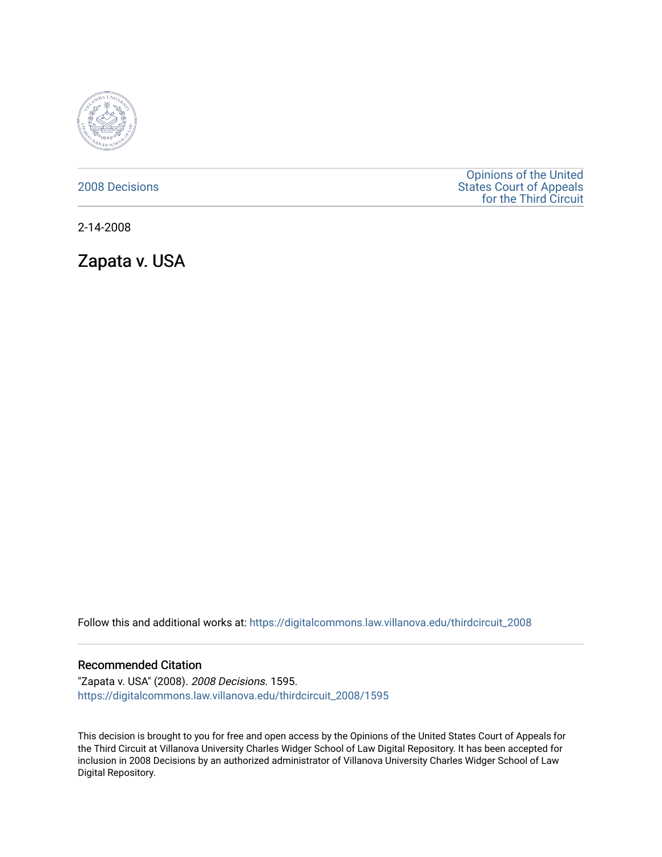

## [2008 Decisions](https://digitalcommons.law.villanova.edu/thirdcircuit_2008)

[Opinions of the United](https://digitalcommons.law.villanova.edu/thirdcircuit)  [States Court of Appeals](https://digitalcommons.law.villanova.edu/thirdcircuit)  [for the Third Circuit](https://digitalcommons.law.villanova.edu/thirdcircuit) 

2-14-2008

Zapata v. USA

Follow this and additional works at: [https://digitalcommons.law.villanova.edu/thirdcircuit\\_2008](https://digitalcommons.law.villanova.edu/thirdcircuit_2008?utm_source=digitalcommons.law.villanova.edu%2Fthirdcircuit_2008%2F1595&utm_medium=PDF&utm_campaign=PDFCoverPages) 

## Recommended Citation

"Zapata v. USA" (2008). 2008 Decisions. 1595. [https://digitalcommons.law.villanova.edu/thirdcircuit\\_2008/1595](https://digitalcommons.law.villanova.edu/thirdcircuit_2008/1595?utm_source=digitalcommons.law.villanova.edu%2Fthirdcircuit_2008%2F1595&utm_medium=PDF&utm_campaign=PDFCoverPages) 

This decision is brought to you for free and open access by the Opinions of the United States Court of Appeals for the Third Circuit at Villanova University Charles Widger School of Law Digital Repository. It has been accepted for inclusion in 2008 Decisions by an authorized administrator of Villanova University Charles Widger School of Law Digital Repository.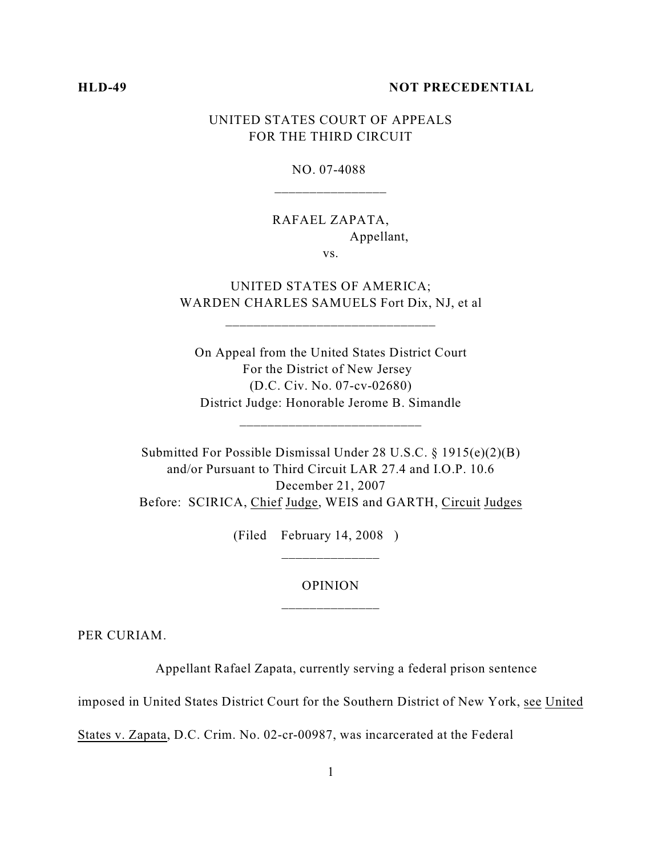### **HLD-49 NOT PRECEDENTIAL**

# UNITED STATES COURT OF APPEALS FOR THE THIRD CIRCUIT

NO. 07-4088 \_\_\_\_\_\_\_\_\_\_\_\_\_\_\_\_

# RAFAEL ZAPATA, Appellant,

vs.

# UNITED STATES OF AMERICA; WARDEN CHARLES SAMUELS Fort Dix, NJ, et al

\_\_\_\_\_\_\_\_\_\_\_\_\_\_\_\_\_\_\_\_\_\_\_\_\_\_\_\_\_\_

On Appeal from the United States District Court For the District of New Jersey (D.C. Civ. No. 07-cv-02680) District Judge: Honorable Jerome B. Simandle

\_\_\_\_\_\_\_\_\_\_\_\_\_\_\_\_\_\_\_\_\_\_\_\_\_\_

Submitted For Possible Dismissal Under 28 U.S.C. § 1915(e)(2)(B) and/or Pursuant to Third Circuit LAR 27.4 and I.O.P. 10.6 December 21, 2007 Before: SCIRICA, Chief Judge, WEIS and GARTH, Circuit Judges

(Filed February 14, 2008 )

# OPINION \_\_\_\_\_\_\_\_\_\_\_\_\_\_

PER CURIAM.

Appellant Rafael Zapata, currently serving a federal prison sentence

imposed in United States District Court for the Southern District of New York, see United

States v. Zapata, D.C. Crim. No. 02-cr-00987, was incarcerated at the Federal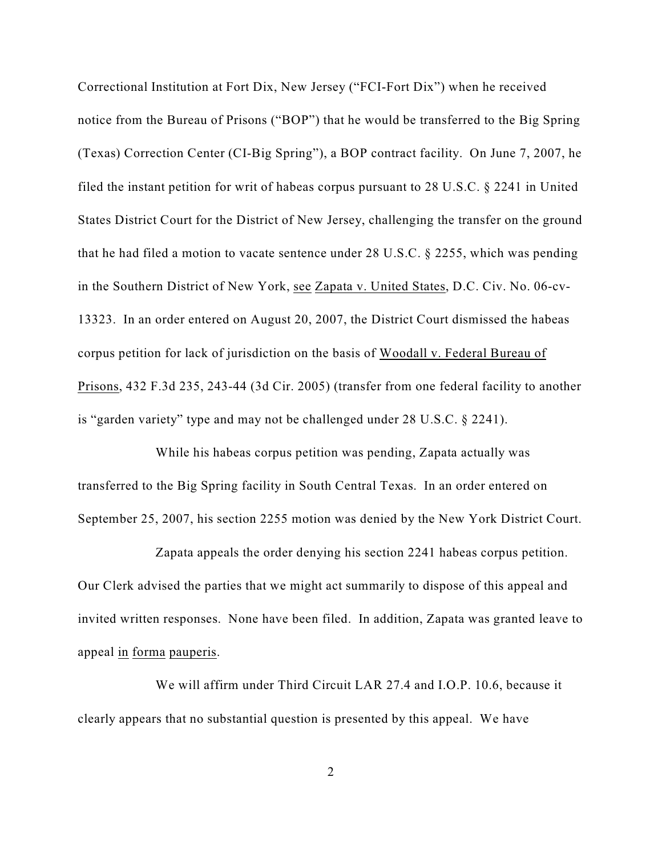Correctional Institution at Fort Dix, New Jersey ("FCI-Fort Dix") when he received notice from the Bureau of Prisons ("BOP") that he would be transferred to the Big Spring (Texas) Correction Center (CI-Big Spring"), a BOP contract facility. On June 7, 2007, he filed the instant petition for writ of habeas corpus pursuant to 28 U.S.C. § 2241 in United States District Court for the District of New Jersey, challenging the transfer on the ground that he had filed a motion to vacate sentence under 28 U.S.C. § 2255, which was pending in the Southern District of New York, see Zapata v. United States, D.C. Civ. No. 06-cv-13323. In an order entered on August 20, 2007, the District Court dismissed the habeas corpus petition for lack of jurisdiction on the basis of Woodall v. Federal Bureau of Prisons, 432 F.3d 235, 243-44 (3d Cir. 2005) (transfer from one federal facility to another is "garden variety" type and may not be challenged under 28 U.S.C. § 2241).

While his habeas corpus petition was pending, Zapata actually was transferred to the Big Spring facility in South Central Texas. In an order entered on September 25, 2007, his section 2255 motion was denied by the New York District Court.

Zapata appeals the order denying his section 2241 habeas corpus petition. Our Clerk advised the parties that we might act summarily to dispose of this appeal and invited written responses. None have been filed. In addition, Zapata was granted leave to appeal in forma pauperis.

We will affirm under Third Circuit LAR 27.4 and I.O.P. 10.6, because it clearly appears that no substantial question is presented by this appeal. We have